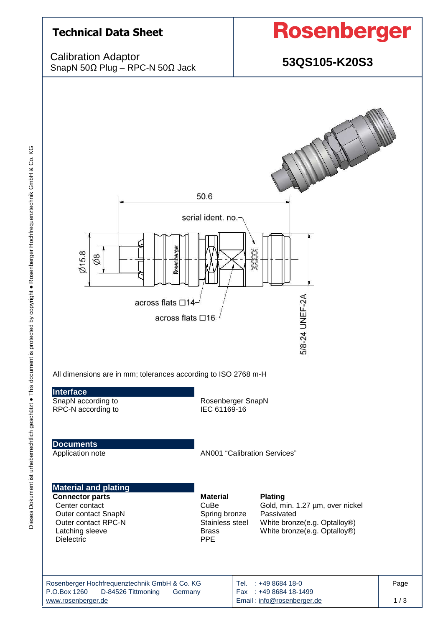

Dieses Dokument ist urheberrechtlich geschützt ● This document is protected by copyright ● Rosenberger Hochfrequenztechnik GmbH & Co. KG Dieses Dokument ist urheberrechtlich geschützt • This document is protected by copyright • Rosenberger Hochfrequenztechnik GmbH & Co. KG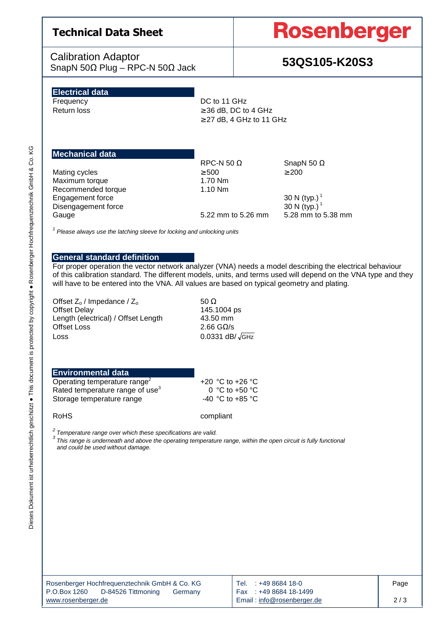# **Technical Data Sheet**

Calibration Adaptor SnapN 50Ω Plug – RPC-N 50Ω Jack **53QS105-K20S3**

# **Rosenberger**

# **Electrical data**

Frequency DC to 11 GHz Return loss  $\geq 36$  dB, DC to 4 GHz  $\geq$  27 dB, 4 GHz to 11 GHz

# **Mechanical data**

Mating cycles  $≥$  500  $≥$  200  $≤$  200 Maximum torque Maximum torque Recommended torque 1.10 Nm Engagement force 30 N (typ.)<sup>1</sup> Disengagement force 30 N (typ.)<sup>1</sup> Gauge 5.22 mm to 5.26 mm 5.28 mm to 5.38 mm

RPC-N 50  $\Omega$  SnapN 50  $\Omega$ 

 $1$  Please always use the latching sleeve for locking and unlocking units

## **General standard definition**

For proper operation the vector network analyzer (VNA) needs a model describing the electrical behaviour of this calibration standard. The different models, units, and terms used will depend on the VNA type and they will have to be entered into the VNA. All values are based on typical geometry and plating.

Offset  $Z_0$  / Impedance /  $Z_0$  50 Ω<br>Offset Delav 515.1 Length (electrical) / Offset Length 43.50 mm Offset Loss 2.66 GΩ/s  $\cos s$  0.0331 dB/ $\sqrt{\text{GHz}}$ 

145.1004 ps

### **Environmental data**

Operating temperature range<sup>2</sup> Rated temperature range of use $3$ Storage temperature range  $-40$  °C to +85 °C

 +20 °C to +26 °C 0 °C to +50 °C

RoHS compliant

 $2$  Temperature range over which these specifications are valid.

 $3$  This range is underneath and above the operating temperature range, within the open circuit is fully functional and could be used without damage.

| Rosenberger Hochfrequenztechnik GmbH & Co. KG | Tel. : +49 8684 18-0       | Page |
|-----------------------------------------------|----------------------------|------|
| P.O.Box 1260<br>D-84526 Tittmoning<br>Germany | Fax: +49 8684 18-1499      |      |
| www.rosenberger.de                            | Email: info@rosenberger.de | 2/3  |